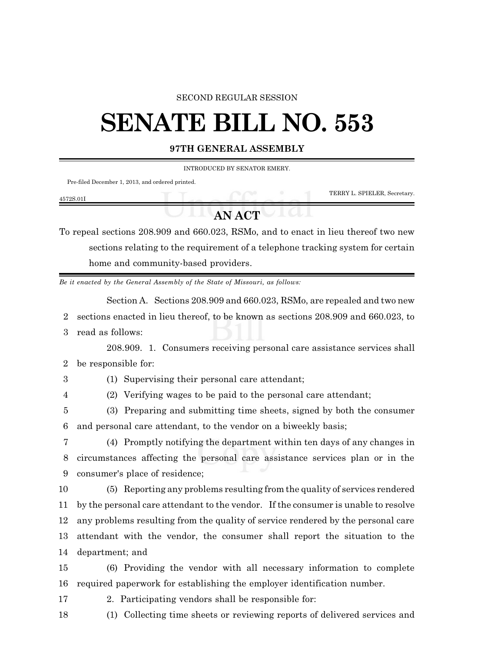## SECOND REGULAR SESSION

## **SENATE BILL NO. 553**

## **97TH GENERAL ASSEMBLY**

INTRODUCED BY SENATOR EMERY.

Pre-filed December 1, 2013, and ordered printed.

| 4572S.01 |  |                              |
|----------|--|------------------------------|
|          |  | TERRY L. SPIELER, Secretary. |

**AN ACT**

To repeal sections 208.909 and 660.023, RSMo, and to enact in lieu thereof two new sections relating to the requirement of a telephone tracking system for certain home and community-based providers.

*Be it enacted by the General Assembly of the State of Missouri, as follows:*

Section A. Sections 208.909 and 660.023, RSMo, are repealed and two new

2 sections enacted in lieu thereof, to be known as sections 208.909 and 660.023, to

3 read as follows:

208.909. 1. Consumers receiving personal care assistance services shall 2 be responsible for:

3 (1) Supervising their personal care attendant;

4 (2) Verifying wages to be paid to the personal care attendant;

5 (3) Preparing and submitting time sheets, signed by both the consumer 6 and personal care attendant, to the vendor on a biweekly basis;

7 (4) Promptly notifying the department within ten days of any changes in 8 circumstances affecting the personal care assistance services plan or in the 9 consumer's place of residence;

 (5) Reporting any problems resulting from the quality of services rendered by the personal care attendant to the vendor. If the consumer is unable to resolve any problems resulting from the quality of service rendered by the personal care attendant with the vendor, the consumer shall report the situation to the department; and

15 (6) Providing the vendor with all necessary information to complete 16 required paperwork for establishing the employer identification number.

- 17 2. Participating vendors shall be responsible for:
- 18 (1) Collecting time sheets or reviewing reports of delivered services and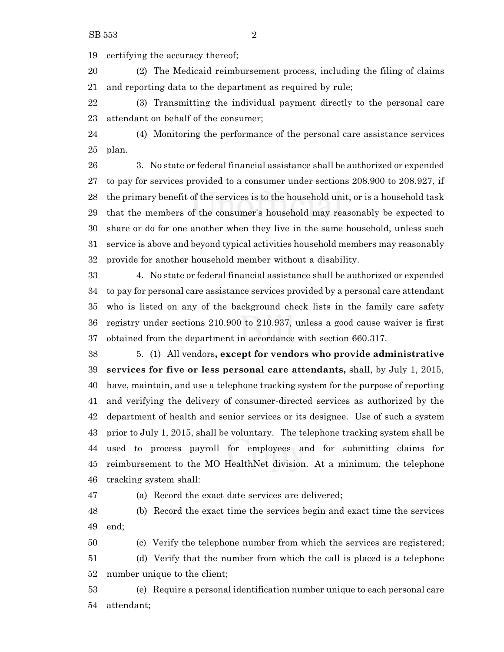certifying the accuracy thereof;

 (2) The Medicaid reimbursement process, including the filing of claims and reporting data to the department as required by rule;

 (3) Transmitting the individual payment directly to the personal care attendant on behalf of the consumer;

 (4) Monitoring the performance of the personal care assistance services plan.

 3. No state or federal financial assistance shall be authorized or expended to pay for services provided to a consumer under sections 208.900 to 208.927, if the primary benefit of the services is to the household unit, or is a household task that the members of the consumer's household may reasonably be expected to share or do for one another when they live in the same household, unless such service is above and beyond typical activities household members may reasonably provide for another household member without a disability.

 4. No state or federal financial assistance shall be authorized or expended to pay for personal care assistance services provided by a personal care attendant who is listed on any of the background check lists in the family care safety registry under sections 210.900 to 210.937, unless a good cause waiver is first obtained from the department in accordance with section 660.317.

 5. (1) All vendors**, except for vendors who provide administrative services for five or less personal care attendants,** shall, by July 1, 2015, have, maintain, and use a telephone tracking system for the purpose of reporting and verifying the delivery of consumer-directed services as authorized by the department of health and senior services or its designee. Use of such a system prior to July 1, 2015, shall be voluntary. The telephone tracking system shall be used to process payroll for employees and for submitting claims for reimbursement to the MO HealthNet division. At a minimum, the telephone tracking system shall:

(a) Record the exact date services are delivered;

 (b) Record the exact time the services begin and exact time the services end;

(c) Verify the telephone number from which the services are registered;

 (d) Verify that the number from which the call is placed is a telephone number unique to the client;

 (e) Require a personal identification number unique to each personal care attendant;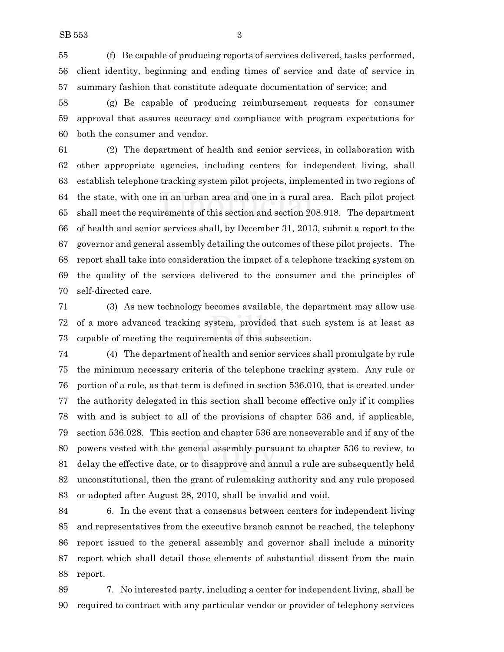(f) Be capable of producing reports of services delivered, tasks performed, client identity, beginning and ending times of service and date of service in summary fashion that constitute adequate documentation of service; and

 (g) Be capable of producing reimbursement requests for consumer approval that assures accuracy and compliance with program expectations for both the consumer and vendor.

 (2) The department of health and senior services, in collaboration with other appropriate agencies, including centers for independent living, shall establish telephone tracking system pilot projects, implemented in two regions of the state, with one in an urban area and one in a rural area. Each pilot project shall meet the requirements of this section and section 208.918. The department of health and senior services shall, by December 31, 2013, submit a report to the governor and general assembly detailing the outcomes of these pilot projects. The report shall take into consideration the impact of a telephone tracking system on the quality of the services delivered to the consumer and the principles of self-directed care.

 (3) As new technology becomes available, the department may allow use of a more advanced tracking system, provided that such system is at least as capable of meeting the requirements of this subsection.

 (4) The department of health and senior services shall promulgate by rule the minimum necessary criteria of the telephone tracking system. Any rule or portion of a rule, as that term is defined in section 536.010, that is created under the authority delegated in this section shall become effective only if it complies with and is subject to all of the provisions of chapter 536 and, if applicable, section 536.028. This section and chapter 536 are nonseverable and if any of the powers vested with the general assembly pursuant to chapter 536 to review, to delay the effective date, or to disapprove and annul a rule are subsequently held unconstitutional, then the grant of rulemaking authority and any rule proposed or adopted after August 28, 2010, shall be invalid and void.

 6. In the event that a consensus between centers for independent living and representatives from the executive branch cannot be reached, the telephony report issued to the general assembly and governor shall include a minority report which shall detail those elements of substantial dissent from the main report.

 7. No interested party, including a center for independent living, shall be required to contract with any particular vendor or provider of telephony services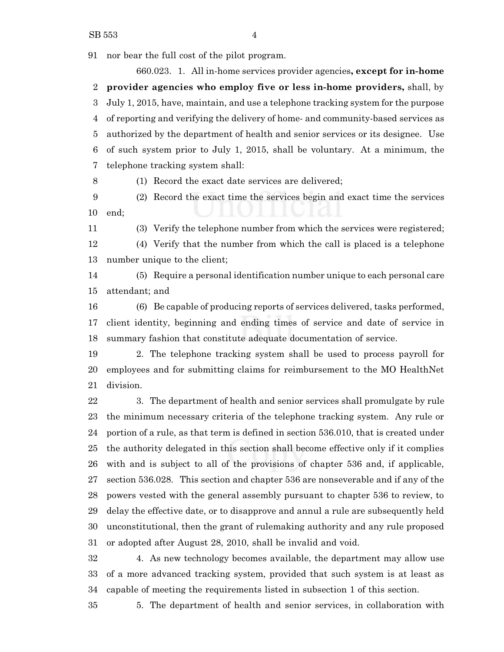nor bear the full cost of the pilot program.

660.023. 1. All in-home services provider agencies**, except for in-home provider agencies who employ five or less in-home providers,** shall, by July 1, 2015, have, maintain, and use a telephone tracking system for the purpose of reporting and verifying the delivery of home- and community-based services as authorized by the department of health and senior services or its designee. Use of such system prior to July 1, 2015, shall be voluntary. At a minimum, the telephone tracking system shall:

(1) Record the exact date services are delivered;

 (2) Record the exact time the services begin and exact time the services end;

(3) Verify the telephone number from which the services were registered;

 (4) Verify that the number from which the call is placed is a telephone number unique to the client;

 (5) Require a personal identification number unique to each personal care attendant; and

 (6) Be capable of producing reports of services delivered, tasks performed, client identity, beginning and ending times of service and date of service in summary fashion that constitute adequate documentation of service.

 2. The telephone tracking system shall be used to process payroll for employees and for submitting claims for reimbursement to the MO HealthNet division.

 3. The department of health and senior services shall promulgate by rule the minimum necessary criteria of the telephone tracking system. Any rule or portion of a rule, as that term is defined in section 536.010, that is created under the authority delegated in this section shall become effective only if it complies with and is subject to all of the provisions of chapter 536 and, if applicable, section 536.028. This section and chapter 536 are nonseverable and if any of the powers vested with the general assembly pursuant to chapter 536 to review, to delay the effective date, or to disapprove and annul a rule are subsequently held unconstitutional, then the grant of rulemaking authority and any rule proposed or adopted after August 28, 2010, shall be invalid and void.

 4. As new technology becomes available, the department may allow use of a more advanced tracking system, provided that such system is at least as capable of meeting the requirements listed in subsection 1 of this section.

5. The department of health and senior services, in collaboration with